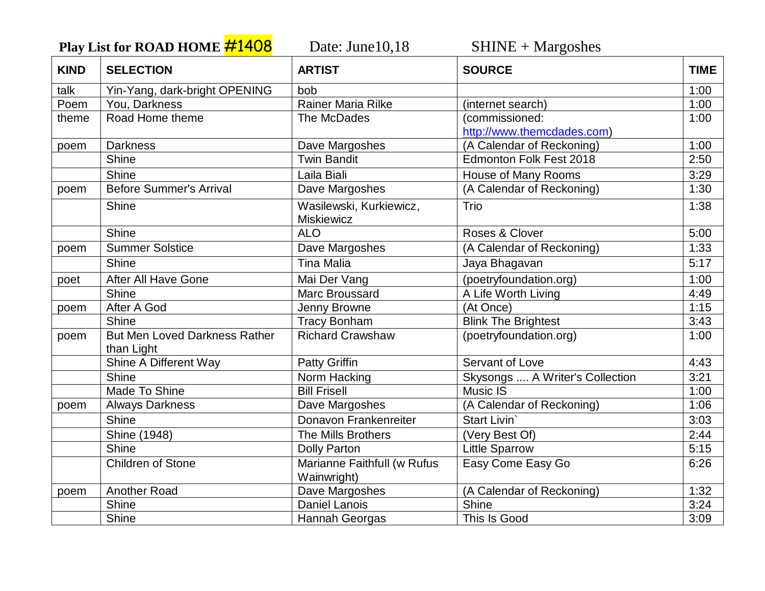**Play List for ROAD HOME #1408** Date: June10,18 SHINE + Margoshes

| <b>KIND</b> | <b>SELECTION</b>                                   | <b>ARTIST</b>                                | <b>SOURCE</b>                                | <b>TIME</b> |
|-------------|----------------------------------------------------|----------------------------------------------|----------------------------------------------|-------------|
| talk        | Yin-Yang, dark-bright OPENING                      | bob                                          |                                              | 1:00        |
| Poem        | You, Darkness                                      | <b>Rainer Maria Rilke</b>                    | (internet search)                            | 1:00        |
| theme       | Road Home theme                                    | The McDades                                  | (commissioned:<br>http://www.themcdades.com) | 1:00        |
| poem        | <b>Darkness</b>                                    | Dave Margoshes                               | (A Calendar of Reckoning)                    | 1:00        |
|             | Shine                                              | <b>Twin Bandit</b>                           | <b>Edmonton Folk Fest 2018</b>               | 2:50        |
|             | Shine                                              | Laila Biali                                  | House of Many Rooms                          | 3:29        |
| poem        | <b>Before Summer's Arrival</b>                     | Dave Margoshes                               | (A Calendar of Reckoning)                    | 1:30        |
|             | Shine                                              | Wasilewski, Kurkiewicz,<br><b>Miskiewicz</b> | Trio                                         | 1:38        |
|             | Shine                                              | <b>ALO</b>                                   | Roses & Clover                               | 5:00        |
| poem        | <b>Summer Solstice</b>                             | Dave Margoshes                               | (A Calendar of Reckoning)                    | 1:33        |
|             | Shine                                              | <b>Tina Malia</b>                            | Jaya Bhagavan                                | 5:17        |
| poet        | After All Have Gone                                | Mai Der Vang                                 | (poetryfoundation.org)                       | 1:00        |
|             | Shine                                              | Marc Broussard                               | A Life Worth Living                          | 4:49        |
| poem        | After A God                                        | Jenny Browne                                 | (At Once)                                    | 1:15        |
|             | Shine                                              | <b>Tracy Bonham</b>                          | <b>Blink The Brightest</b>                   | 3:43        |
| poem        | <b>But Men Loved Darkness Rather</b><br>than Light | <b>Richard Crawshaw</b>                      | (poetryfoundation.org)                       | 1:00        |
|             | Shine A Different Way                              | <b>Patty Griffin</b>                         | <b>Servant of Love</b>                       | 4:43        |
|             | Shine                                              | Norm Hacking                                 | Skysongs  A Writer's Collection              | 3:21        |
|             | Made To Shine                                      | <b>Bill Frisell</b>                          | <b>Music IS</b>                              | 1:00        |
| poem        | <b>Always Darkness</b>                             | Dave Margoshes                               | (A Calendar of Reckoning)                    | 1:06        |
|             | <b>Shine</b>                                       | Donavon Frankenreiter                        | Start Livin                                  | 3:03        |
|             | Shine (1948)                                       | The Mills Brothers                           | (Very Best Of)                               | 2:44        |
|             | Shine                                              | <b>Dolly Parton</b>                          | <b>Little Sparrow</b>                        | 5:15        |
|             | Children of Stone                                  | Marianne Faithfull (w Rufus<br>Wainwright)   | Easy Come Easy Go                            | 6:26        |
| poem        | Another Road                                       | Dave Margoshes                               | (A Calendar of Reckoning)                    | 1:32        |
|             | Shine                                              | <b>Daniel Lanois</b>                         | Shine                                        | 3:24        |
|             | Shine                                              | Hannah Georgas                               | This Is Good                                 | 3:09        |